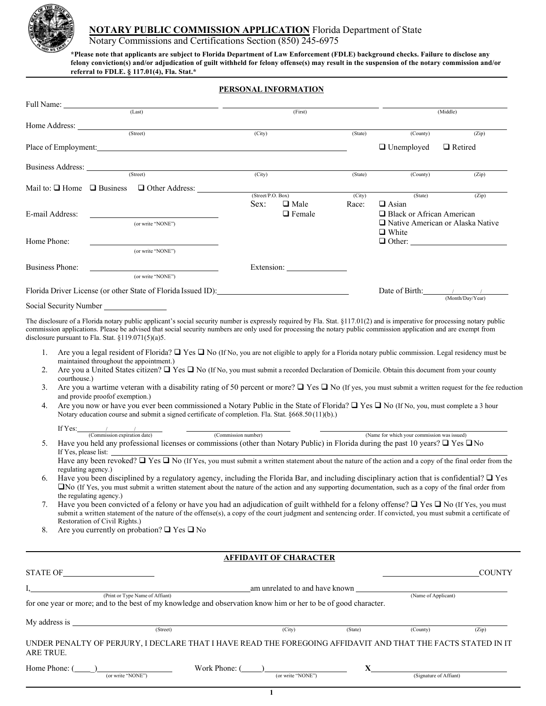

### **NOTARY PUBLIC COMMISSION APPLICATION** Florida Department of State

Notary Commissions and Certifications Section (850) 245-6975

**\*Please note that applicants are subject to Florida Department of Law Enforcement (FDLE) background checks. Failure to disclose any felony conviction(s) and/or adjudication of guilt withheld for felony offense(s) may result in the suspension of the notary commission and/or referral to FDLE. § 117.01(4), Fla. Stat.\***

### **PERSONAL INFORMATION**

|                        | (Last)                                                                                                                                                                                                                         |                   | (First)       |         |                                  | (Middle)                           |
|------------------------|--------------------------------------------------------------------------------------------------------------------------------------------------------------------------------------------------------------------------------|-------------------|---------------|---------|----------------------------------|------------------------------------|
|                        |                                                                                                                                                                                                                                |                   |               |         |                                  |                                    |
|                        | (Street)                                                                                                                                                                                                                       | (City)            |               | (State) | (County)                         | (Zip)                              |
|                        | Place of Employment: and the contract of the contract of the contract of the contract of the contract of the contract of the contract of the contract of the contract of the contract of the contract of the contract of the c |                   |               |         | $\Box$ Unemployed                | $\Box$ Retired                     |
|                        |                                                                                                                                                                                                                                |                   |               |         |                                  |                                    |
|                        | (Street)                                                                                                                                                                                                                       | (City)            |               | (State) | (County)                         | (Zip)                              |
|                        | Mail to: $\Box$ Home $\Box$ Business $\Box$ Other Address:                                                                                                                                                                     |                   |               |         |                                  |                                    |
|                        |                                                                                                                                                                                                                                | (Street/P.O. Box) |               | (City)  | (State)                          | (Zip)                              |
|                        |                                                                                                                                                                                                                                | Sex:              | $\Box$ Male   | Race:   | $\Box$ Asian                     |                                    |
| E-mail Address:        | <u> 1980 - Jan Samuel Barbara, martin da shekara 1980 - An tsa a tsa a tsa a tsa a tsa a tsa a tsa a tsa a tsa a</u>                                                                                                           |                   | $\Box$ Female |         | $\Box$ Black or African American |                                    |
|                        | (or write "NONE")                                                                                                                                                                                                              |                   |               |         |                                  | □ Native American or Alaska Native |
|                        |                                                                                                                                                                                                                                |                   |               |         | $\Box$ White                     |                                    |
| Home Phone:            |                                                                                                                                                                                                                                |                   |               |         |                                  | $\Box$ Other:                      |
|                        | (or write "NONE")                                                                                                                                                                                                              |                   |               |         |                                  |                                    |
| Business Phone:        | <u> 1989 - John Stein, mars and de Branch and de Branch and de Branch and de Branch and de Branch and de Branch an</u>                                                                                                         |                   |               |         |                                  |                                    |
|                        | (or write "NONE")                                                                                                                                                                                                              |                   |               |         |                                  |                                    |
|                        | Florida Driver License (or other State of Florida Issued ID):                                                                                                                                                                  |                   |               |         |                                  | Date of Birth: $\frac{1}{2}$       |
| Social Security Number |                                                                                                                                                                                                                                |                   |               |         |                                  | (Month/Dav/Year)                   |

The disclosure of a Florida notary public applicant's social security number is expressly required by Fla. Stat. §117.01(2) and is imperative for processing notary public commission applications. Please be advised that social security numbers are only used for processing the notary public commission application and are exempt from disclosure pursuant to Fla. Stat. §119.071(5)(a)5.

- 1. Are you a legal resident of Florida?  $\Box$  Yes  $\Box$  No (If No, you are not eligible to apply for a Florida notary public commission. Legal residency must be maintained throughout the appointment.)
- 2. Are you a United States citizen?  $\Box$  Yes  $\Box$  No (If No, you must submit a recorded Declaration of Domicile. Obtain this document from your county courthouse.)
- 3. Are you a wartime veteran with a disability rating of 50 percent or more?  $\Box$  Yes  $\Box$  No (If yes, you must submit a written request for the fee reduction and provide proofof exemption.)
- 4. Are you now or have you ever been commissioned a Notary Public in the State of Florida?  $\Box$  Yes  $\Box$  No (If No, you, must complete a 3 hour Notary education course and submit a signed certificate of completion. Fla. Stat. §668.50 (11)(b).)

| ---- |      |  |  |
|------|------|--|--|
|      | date |  |  |

(Name for which your commission was issued) 5. Have you held any professional licenses or commissions (other than Notary Public) in Florida during the past 10 years?  $\Box$  Yes  $\Box$  No If Yes, please list:

Have any been revoked?  $\Box$  Yes  $\Box$  No (If Yes, you must submit a written statement about the nature of the action and a copy of the final order from the regulating agency.)

- 6. Have you been disciplined by a regulatory agency, including the Florida Bar, and including disciplinary action that is confidential?  $\Box$  Yes No (If Yes, you must submit a written statement about the nature of the action and any supporting documentation, such as a copy of the final order from the regulating agency.)
- 7. Have you been convicted of a felony or have you had an adjudication of guilt withheld for a felony offense?  $\Box$  Yes  $\Box$  No (If Yes, you must submit a written statement of the nature of the offense(s), a copy of the court judgment and sentencing order. If convicted, you must submit a certificate of Restoration of Civil Rights.)
- 8. Are you currently on probation?  $\Box$  Yes  $\Box$  No

**AFFIDAVIT OF CHARACTER**

| <b>STATE OF</b> |                                                                                                                |                                |         |                        | <b>COUNTY</b> |
|-----------------|----------------------------------------------------------------------------------------------------------------|--------------------------------|---------|------------------------|---------------|
|                 | (Print or Type Name of Affiant)                                                                                | am unrelated to and have known |         | (Name of Applicant)    |               |
|                 | for one year or more; and to the best of my knowledge and observation know him or her to be of good character. |                                |         |                        |               |
| My address is   |                                                                                                                |                                |         |                        |               |
|                 | (Street)                                                                                                       | (City)                         | (State) | (County)               | (Zip)         |
| ARE TRUE.       | UNDER PENALTY OF PERJURY, I DECLARE THAT I HAVE READ THE FOREGOING AFFIDAVIT AND THAT THE FACTS STATED IN IT   |                                |         |                        |               |
| Home Phone: 0   | Work Phone: (<br>(or write "NONE")                                                                             | (or write "NONE")              |         | (Signature of Affiant) |               |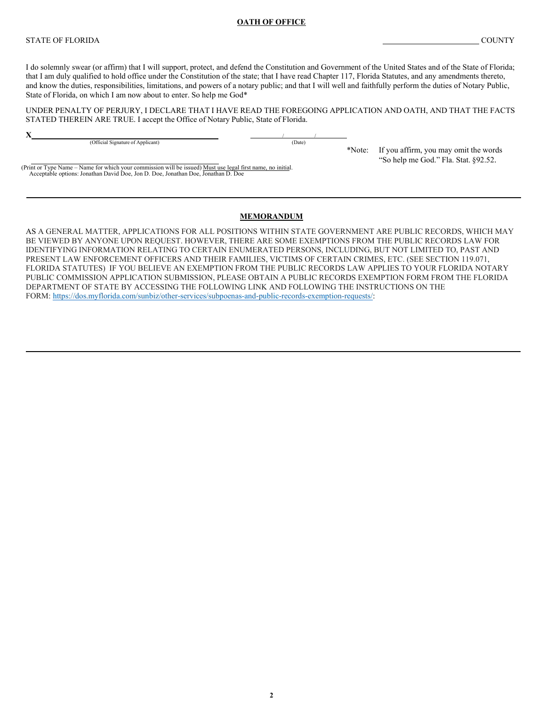#### **OATH OF OFFICE**

### STATE OF FLORIDA COUNTY

I do solemnly swear (or affirm) that I will support, protect, and defend the Constitution and Government of the United States and of the State of Florida; that I am duly qualified to hold office under the Constitution of the state; that I have read Chapter 117, Florida Statutes, and any amendments thereto, and know the duties, responsibilities, limitations, and powers of a notary public; and that I will well and faithfully perform the duties of Notary Public, State of Florida, on which I am now about to enter. So help me God\*

UNDER PENALTY OF PERJURY, I DECLARE THAT I HAVE READ THE FOREGOING APPLICATION AND OATH, AND THAT THE FACTS STATED THEREIN ARE TRUE. I accept the Office of Notary Public, State of Florida.

**X** / / (Official Signature of Applicant) (Date)

Acceptable options: Jonathan David Doe, Jon D. Doe, Jonathan Doe, Jonathan D. Doe

(Print or Type Name – Name for which your commission will be issued) Must use legal first name, no initial.

\*Note: If you affirm, you may omit the words "So help me God." Fla. Stat. §92.52.

### **MEMORANDUM**

AS A GENERAL MATTER, APPLICATIONS FOR ALL POSITIONS WITHIN STATE GOVERNMENT ARE PUBLIC RECORDS, WHICH MAY BE VIEWED BY ANYONE UPON REQUEST. HOWEVER, THERE ARE SOME EXEMPTIONS FROM THE PUBLIC RECORDS LAW FOR IDENTIFYING INFORMATION RELATING TO CERTAIN ENUMERATED PERSONS, INCLUDING, BUT NOT LIMITED TO, PAST AND PRESENT LAW ENFORCEMENT OFFICERS AND THEIR FAMILIES, VICTIMS OF CERTAIN CRIMES, ETC. (SEE SECTION 119.071, FLORIDA STATUTES) IF YOU BELIEVE AN EXEMPTION FROM THE PUBLIC RECORDS LAW APPLIES TO YOUR FLORIDA NOTARY PUBLIC COMMISSION APPLICATION SUBMISSION, PLEASE OBTAIN A PUBLIC RECORDS EXEMPTION FORM FROM THE FLORIDA DEPARTMENT OF STATE BY ACCESSING THE FOLLOWING LINK AND FOLLOWING THE INSTRUCTIONS ON THE FORM: [https://dos.myflorida.com/sunbiz/other-services/subpoenas-and-public-records-exemption-requests/:](https://dos.myflorida.com/sunbiz/other-services/subpoenas-and-public-records-exemption-requests/)